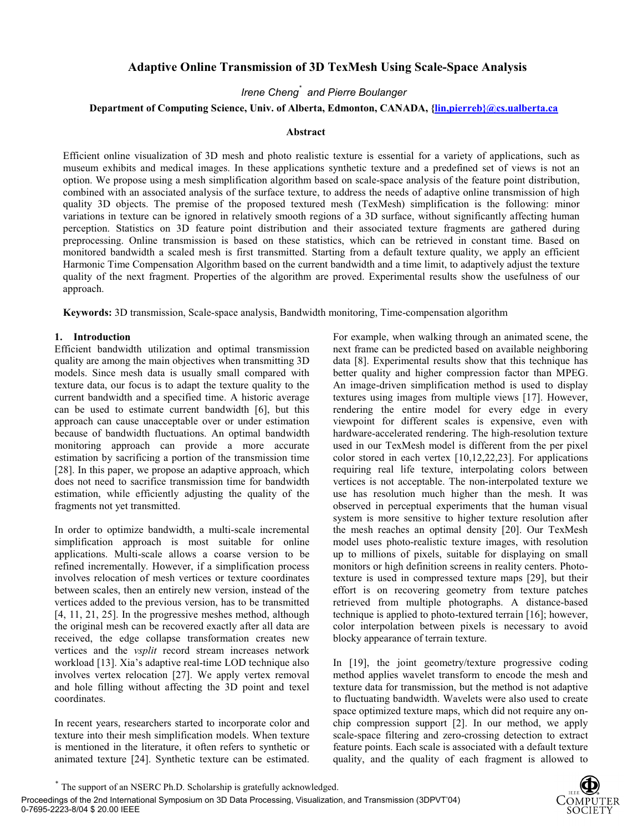# **Adaptive Online Transmission of 3D TexMesh Using Scale-Space Analysis**

*Irene Cheng\* and Pierre Boulanger* 

## **Department of Computing Science, Univ. of Alberta, Edmonton, CANADA, {lin,pierreb}@cs.ualberta.ca**

#### **Abstract**

Efficient online visualization of 3D mesh and photo realistic texture is essential for a variety of applications, such as museum exhibits and medical images. In these applications synthetic texture and a predefined set of views is not an option. We propose using a mesh simplification algorithm based on scale-space analysis of the feature point distribution, combined with an associated analysis of the surface texture, to address the needs of adaptive online transmission of high quality 3D objects. The premise of the proposed textured mesh (TexMesh) simplification is the following: minor variations in texture can be ignored in relatively smooth regions of a 3D surface, without significantly affecting human perception. Statistics on 3D feature point distribution and their associated texture fragments are gathered during preprocessing. Online transmission is based on these statistics, which can be retrieved in constant time. Based on monitored bandwidth a scaled mesh is first transmitted. Starting from a default texture quality, we apply an efficient Harmonic Time Compensation Algorithm based on the current bandwidth and a time limit, to adaptively adjust the texture quality of the next fragment. Properties of the algorithm are proved. Experimental results show the usefulness of our approach.

**Keywords:** 3D transmission, Scale-space analysis, Bandwidth monitoring, Time-compensation algorithm

#### **1. Introduction**

Efficient bandwidth utilization and optimal transmission quality are among the main objectives when transmitting 3D models. Since mesh data is usually small compared with texture data, our focus is to adapt the texture quality to the current bandwidth and a specified time. A historic average can be used to estimate current bandwidth [6], but this approach can cause unacceptable over or under estimation because of bandwidth fluctuations. An optimal bandwidth monitoring approach can provide a more accurate estimation by sacrificing a portion of the transmission time [28]. In this paper, we propose an adaptive approach, which does not need to sacrifice transmission time for bandwidth estimation, while efficiently adjusting the quality of the fragments not yet transmitted.

In order to optimize bandwidth, a multi-scale incremental simplification approach is most suitable for online applications. Multi-scale allows a coarse version to be refined incrementally. However, if a simplification process involves relocation of mesh vertices or texture coordinates between scales, then an entirely new version, instead of the vertices added to the previous version, has to be transmitted [4, 11, 21, 25]. In the progressive meshes method, although the original mesh can be recovered exactly after all data are received, the edge collapse transformation creates new vertices and the *vsplit* record stream increases network workload [13]. Xia's adaptive real-time LOD technique also involves vertex relocation [27]. We apply vertex removal and hole filling without affecting the 3D point and texel coordinates.

In recent years, researchers started to incorporate color and texture into their mesh simplification models. When texture is mentioned in the literature, it often refers to synthetic or animated texture [24]. Synthetic texture can be estimated.

For example, when walking through an animated scene, the next frame can be predicted based on available neighboring data [8]. Experimental results show that this technique has better quality and higher compression factor than MPEG. An image-driven simplification method is used to display textures using images from multiple views [17]. However, rendering the entire model for every edge in every viewpoint for different scales is expensive, even with hardware-accelerated rendering. The high-resolution texture used in our TexMesh model is different from the per pixel color stored in each vertex [10,12,22,23]. For applications requiring real life texture, interpolating colors between vertices is not acceptable. The non-interpolated texture we use has resolution much higher than the mesh. It was observed in perceptual experiments that the human visual system is more sensitive to higher texture resolution after the mesh reaches an optimal density [20]. Our TexMesh model uses photo-realistic texture images, with resolution up to millions of pixels, suitable for displaying on small monitors or high definition screens in reality centers. Phototexture is used in compressed texture maps [29], but their effort is on recovering geometry from texture patches retrieved from multiple photographs. A distance-based technique is applied to photo-textured terrain [16]; however, color interpolation between pixels is necessary to avoid blocky appearance of terrain texture.

In [19], the joint geometry/texture progressive coding method applies wavelet transform to encode the mesh and texture data for transmission, but the method is not adaptive to fluctuating bandwidth. Wavelets were also used to create space optimized texture maps, which did not require any onchip compression support [2]. In our method, we apply scale-space filtering and zero-crossing detection to extract feature points. Each scale is associated with a default texture quality, and the quality of each fragment is allowed to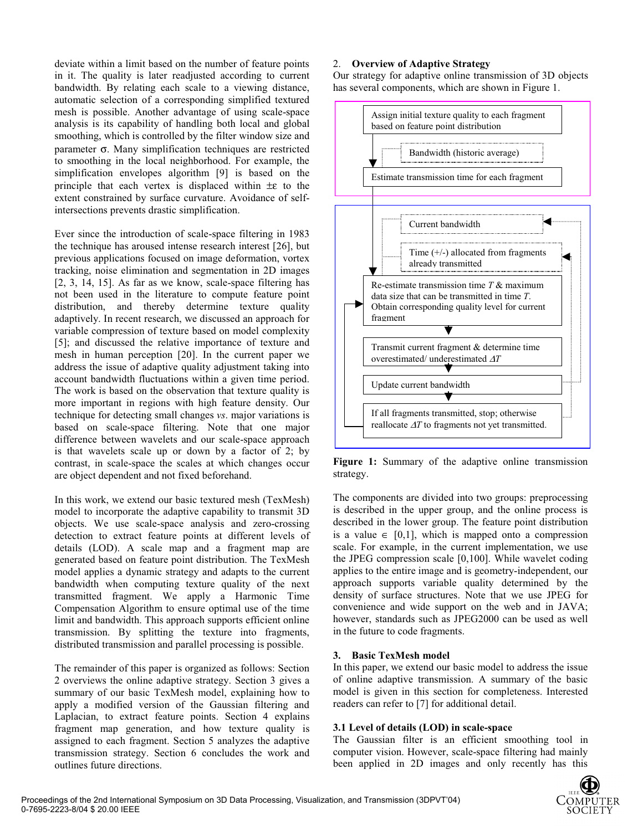deviate within a limit based on the number of feature points in it. The quality is later readjusted according to current bandwidth. By relating each scale to a viewing distance, automatic selection of a corresponding simplified textured mesh is possible. Another advantage of using scale-space analysis is its capability of handling both local and global smoothing, which is controlled by the filter window size and parameter σ. Many simplification techniques are restricted to smoothing in the local neighborhood. For example, the simplification envelopes algorithm [9] is based on the principle that each vertex is displaced within ±ε to the extent constrained by surface curvature. Avoidance of selfintersections prevents drastic simplification.

Ever since the introduction of scale-space filtering in 1983 the technique has aroused intense research interest [26], but previous applications focused on image deformation, vortex tracking, noise elimination and segmentation in 2D images [2, 3, 14, 15]. As far as we know, scale-space filtering has not been used in the literature to compute feature point distribution, and thereby determine texture quality adaptively. In recent research, we discussed an approach for variable compression of texture based on model complexity [5]; and discussed the relative importance of texture and mesh in human perception [20]. In the current paper we address the issue of adaptive quality adjustment taking into account bandwidth fluctuations within a given time period. The work is based on the observation that texture quality is more important in regions with high feature density. Our technique for detecting small changes *vs*. major variations is based on scale-space filtering. Note that one major difference between wavelets and our scale-space approach is that wavelets scale up or down by a factor of 2; by contrast, in scale-space the scales at which changes occur are object dependent and not fixed beforehand.

In this work, we extend our basic textured mesh (TexMesh) model to incorporate the adaptive capability to transmit 3D objects. We use scale-space analysis and zero-crossing detection to extract feature points at different levels of details (LOD). A scale map and a fragment map are generated based on feature point distribution. The TexMesh model applies a dynamic strategy and adapts to the current bandwidth when computing texture quality of the next transmitted fragment. We apply a Harmonic Time Compensation Algorithm to ensure optimal use of the time limit and bandwidth. This approach supports efficient online transmission. By splitting the texture into fragments, distributed transmission and parallel processing is possible.

The remainder of this paper is organized as follows: Section 2 overviews the online adaptive strategy. Section 3 gives a summary of our basic TexMesh model, explaining how to apply a modified version of the Gaussian filtering and Laplacian, to extract feature points. Section 4 explains fragment map generation, and how texture quality is assigned to each fragment. Section 5 analyzes the adaptive transmission strategy. Section 6 concludes the work and outlines future directions.

### 2. **Overview of Adaptive Strategy**

Our strategy for adaptive online transmission of 3D objects has several components, which are shown in Figure 1.



Figure 1: Summary of the adaptive online transmission strategy.

The components are divided into two groups: preprocessing is described in the upper group, and the online process is described in the lower group. The feature point distribution is a value  $\in$  [0,1], which is mapped onto a compression scale. For example, in the current implementation, we use the JPEG compression scale [0,100]. While wavelet coding applies to the entire image and is geometry-independent, our approach supports variable quality determined by the density of surface structures. Note that we use JPEG for convenience and wide support on the web and in JAVA; however, standards such as JPEG2000 can be used as well in the future to code fragments.

#### **3. Basic TexMesh model**

In this paper, we extend our basic model to address the issue of online adaptive transmission. A summary of the basic model is given in this section for completeness. Interested readers can refer to [7] for additional detail.

## **3.1 Level of details (LOD) in scale-space**

The Gaussian filter is an efficient smoothing tool in computer vision. However, scale-space filtering had mainly been applied in 2D images and only recently has this

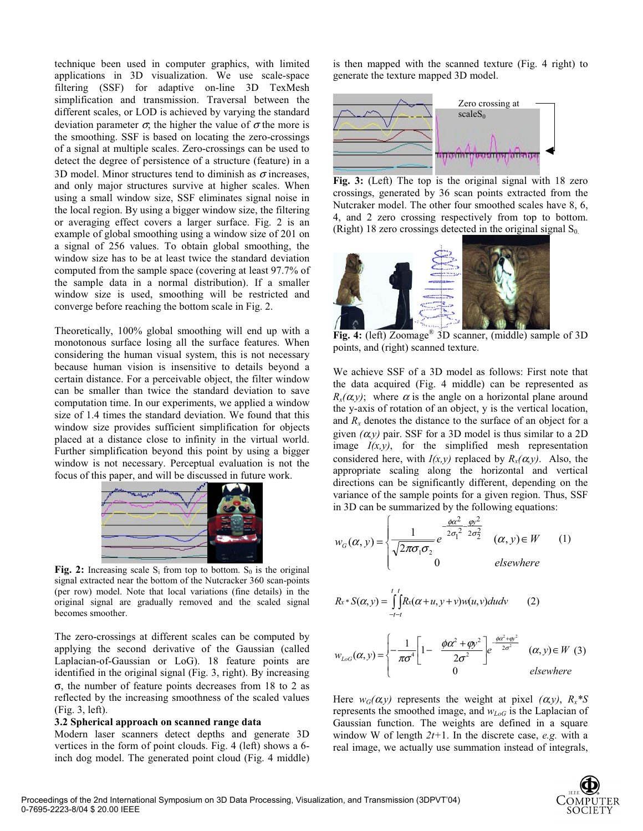technique been used in computer graphics, with limited applications in 3D visualization. We use scale-space filtering (SSF) for adaptive on-line 3D TexMesh simplification and transmission. Traversal between the different scales, or LOD is achieved by varying the standard deviation parameter  $\sigma$ , the higher the value of  $\sigma$  the more is the smoothing. SSF is based on locating the zero-crossings of a signal at multiple scales. Zero-crossings can be used to detect the degree of persistence of a structure (feature) in a 3D model. Minor structures tend to diminish as  $\sigma$  increases, and only major structures survive at higher scales. When using a small window size, SSF eliminates signal noise in the local region. By using a bigger window size, the filtering or averaging effect covers a larger surface. Fig. 2 is an example of global smoothing using a window size of 201 on a signal of 256 values. To obtain global smoothing, the window size has to be at least twice the standard deviation computed from the sample space (covering at least 97.7% of the sample data in a normal distribution). If a smaller window size is used, smoothing will be restricted and converge before reaching the bottom scale in Fig. 2.

Theoretically, 100% global smoothing will end up with a monotonous surface losing all the surface features. When considering the human visual system, this is not necessary because human vision is insensitive to details beyond a certain distance. For a perceivable object, the filter window can be smaller than twice the standard deviation to save computation time. In our experiments, we applied a window size of 1.4 times the standard deviation. We found that this window size provides sufficient simplification for objects placed at a distance close to infinity in the virtual world. Further simplification beyond this point by using a bigger window is not necessary. Perceptual evaluation is not the focus of this paper, and will be discussed in future work.



Fig. 2: Increasing scale  $S_i$  from top to bottom.  $S_0$  is the original signal extracted near the bottom of the Nutcracker 360 scan-points (per row) model. Note that local variations (fine details) in the original signal are gradually removed and the scaled signal becomes smoother.

The zero-crossings at different scales can be computed by applying the second derivative of the Gaussian (called Laplacian-of-Gaussian or LoG). 18 feature points are identified in the original signal (Fig. 3, right). By increasing σ, the number of feature points decreases from 18 to 2 as reflected by the increasing smoothness of the scaled values (Fig. 3, left).

#### **3.2 Spherical approach on scanned range data**

Modern laser scanners detect depths and generate 3D vertices in the form of point clouds. Fig. 4 (left) shows a 6 inch dog model. The generated point cloud (Fig. 4 middle)

is then mapped with the scanned texture (Fig. 4 right) to generate the texture mapped 3D model.



**Fig. 3:** (Left) The top is the original signal with 18 zero crossings, generated by 36 scan points extracted from the Nutcraker model. The other four smoothed scales have 8, 6, 4, and 2 zero crossing respectively from top to bottom. (Right) 18 zero crossings detected in the original signal  $S_0$ .



**Fig. 4:** (left) Zoomage® 3D scanner, (middle) sample of 3D points, and (right) scanned texture.

We achieve SSF of a 3D model as follows: First note that the data acquired (Fig. 4 middle) can be represented as  $R_{x}(\alpha, y)$ ; where  $\alpha$  is the angle on a horizontal plane around the y-axis of rotation of an object, y is the vertical location, and  $R_x$  denotes the distance to the surface of an object for a given  $(\alpha, \gamma)$  pair. SSF for a 3D model is thus similar to a 2D image  $I(x, y)$ , for the simplified mesh representation considered here, with  $I(x, y)$  replaced by  $R_x(\alpha, y)$ . Also, the appropriate scaling along the horizontal and vertical directions can be significantly different, depending on the variance of the sample points for a given region. Thus, SSF in 3D can be summarized by the following equations:

$$
w_G(\alpha, y) = \begin{cases} \frac{1}{\sqrt{2\pi\sigma_1\sigma_2}} e^{-\frac{\phi\alpha^2}{2\sigma_1^2 - 2\sigma_2^2}} & (\alpha, y) \in W \\ 0 & \text{elsewhere} \end{cases}
$$
(1)

$$
R_{x} * S(\alpha, y) = \int_{-t-t}^{t} R_{x}(\alpha + u, y + v) w(u, v) du dv \qquad (2)
$$

$$
w_{LoG}(\alpha, y) = \begin{cases} -\frac{1}{\pi \sigma^4} \left[ 1 - \frac{\phi \alpha^2 + \phi y^2}{2\sigma^2} \right] e^{\frac{\phi \alpha^2 + \phi^2}{2\sigma^2}} & (\alpha, y) \in W \\ 0 & \text{elsewhere} \end{cases}
$$
 (3)

Here  $w_G(\alpha, y)$  represents the weight at pixel  $(\alpha, y)$ ,  $R_x * S$ represents the smoothed image, and  $w_{LoG}$  is the Laplacian of Gaussian function. The weights are defined in a square window W of length *2t+*1. In the discrete case, *e.g.* with a real image, we actually use summation instead of integrals,

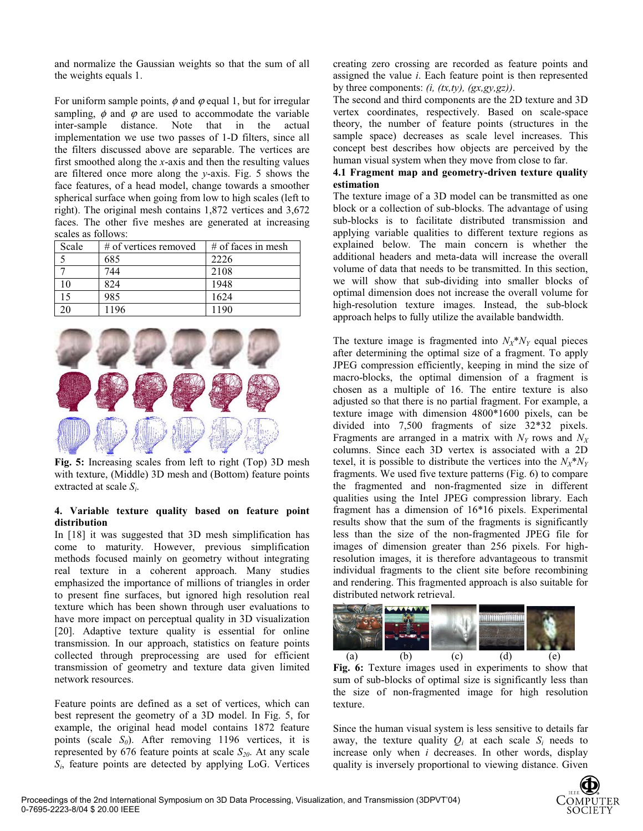and normalize the Gaussian weights so that the sum of all the weights equals 1.

For uniform sample points,  $\phi$  and  $\varphi$  equal 1, but for irregular sampling,  $\phi$  and  $\phi$  are used to accommodate the variable inter-sample distance. Note that in the actual implementation we use two passes of 1-D filters, since all the filters discussed above are separable. The vertices are first smoothed along the *x*-axis and then the resulting values are filtered once more along the *y*-axis. Fig. 5 shows the face features, of a head model, change towards a smoother spherical surface when going from low to high scales (left to right). The original mesh contains 1,872 vertices and 3,672 faces. The other five meshes are generated at increasing scales as follows:

| Scale          | $#$ of vertices removed | $#$ of faces in mesh |
|----------------|-------------------------|----------------------|
|                | 685                     | 2226                 |
|                | 744                     | 2108                 |
| $\overline{0}$ | 824                     | 1948                 |
| 15             | 985                     | 1624                 |
|                | 1196                    | 1190                 |



**Fig. 5:** Increasing scales from left to right (Top) 3D mesh with texture, (Middle) 3D mesh and (Bottom) feature points extracted at scale *Si*.

### **4. Variable texture quality based on feature point distribution**

In [18] it was suggested that 3D mesh simplification has come to maturity. However, previous simplification methods focused mainly on geometry without integrating real texture in a coherent approach. Many studies emphasized the importance of millions of triangles in order to present fine surfaces, but ignored high resolution real texture which has been shown through user evaluations to have more impact on perceptual quality in 3D visualization [20]. Adaptive texture quality is essential for online transmission. In our approach, statistics on feature points collected through preprocessing are used for efficient transmission of geometry and texture data given limited network resources.

Feature points are defined as a set of vertices, which can best represent the geometry of a 3D model. In Fig. 5, for example, the original head model contains 1872 feature points (scale  $S_0$ ). After removing 1196 vertices, it is represented by  $676$  feature points at scale  $S_{20}$ . At any scale *Si*, feature points are detected by applying LoG. Vertices

creating zero crossing are recorded as feature points and assigned the value *i*. Each feature point is then represented by three components: *(i, (tx,ty), (gx,gy,gz))*.

The second and third components are the 2D texture and 3D vertex coordinates, respectively. Based on scale-space theory, the number of feature points (structures in the sample space) decreases as scale level increases. This concept best describes how objects are perceived by the human visual system when they move from close to far.

### **4.1 Fragment map and geometry-driven texture quality estimation**

The texture image of a 3D model can be transmitted as one block or a collection of sub-blocks. The advantage of using sub-blocks is to facilitate distributed transmission and applying variable qualities to different texture regions as explained below. The main concern is whether the additional headers and meta-data will increase the overall volume of data that needs to be transmitted. In this section, we will show that sub-dividing into smaller blocks of optimal dimension does not increase the overall volume for high-resolution texture images. Instead, the sub-block approach helps to fully utilize the available bandwidth.

The texture image is fragmented into  $N_X * N_Y$  equal pieces after determining the optimal size of a fragment. To apply JPEG compression efficiently, keeping in mind the size of macro-blocks, the optimal dimension of a fragment is chosen as a multiple of 16. The entire texture is also adjusted so that there is no partial fragment. For example, a texture image with dimension 4800\*1600 pixels, can be divided into 7,500 fragments of size 32\*32 pixels. Fragments are arranged in a matrix with  $N_Y$  rows and  $N_X$ columns. Since each 3D vertex is associated with a 2D texel, it is possible to distribute the vertices into the  $N_X^*N_Y$ fragments. We used five texture patterns (Fig. 6) to compare the fragmented and non-fragmented size in different qualities using the Intel JPEG compression library. Each fragment has a dimension of 16\*16 pixels. Experimental results show that the sum of the fragments is significantly less than the size of the non-fragmented JPEG file for images of dimension greater than 256 pixels. For highresolution images, it is therefore advantageous to transmit individual fragments to the client site before recombining and rendering. This fragmented approach is also suitable for distributed network retrieval.



**Fig. 6:** Texture images used in experiments to show that sum of sub-blocks of optimal size is significantly less than the size of non-fragmented image for high resolution texture.

Since the human visual system is less sensitive to details far away, the texture quality  $Q_i$  at each scale  $S_i$  needs to increase only when *i* decreases. In other words, display quality is inversely proportional to viewing distance. Given

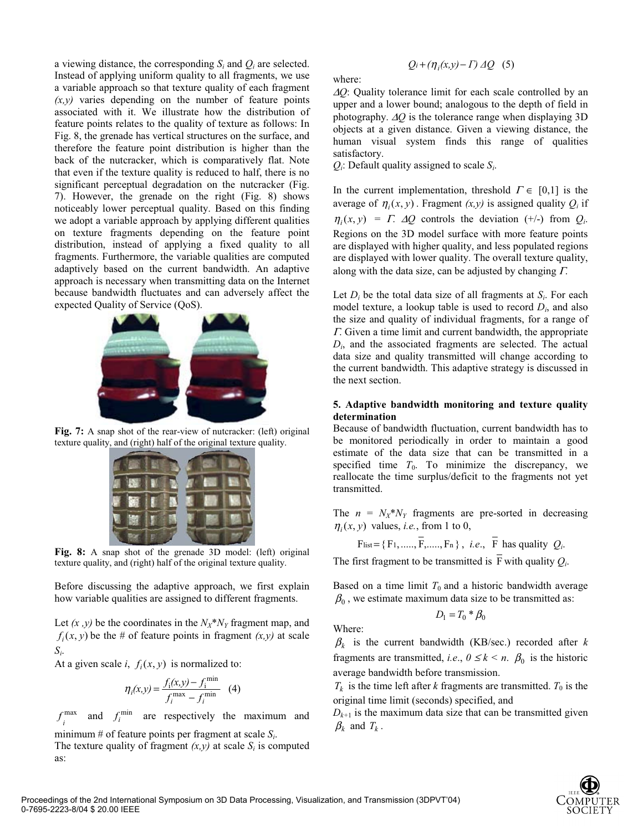a viewing distance, the corresponding *Si* and *Qi* are selected. Instead of applying uniform quality to all fragments, we use a variable approach so that texture quality of each fragment  $(x,y)$  varies depending on the number of feature points associated with it. We illustrate how the distribution of feature points relates to the quality of texture as follows: In Fig. 8, the grenade has vertical structures on the surface, and therefore the feature point distribution is higher than the back of the nutcracker, which is comparatively flat. Note that even if the texture quality is reduced to half, there is no significant perceptual degradation on the nutcracker (Fig. 7). However, the grenade on the right (Fig. 8) shows noticeably lower perceptual quality. Based on this finding we adopt a variable approach by applying different qualities on texture fragments depending on the feature point distribution, instead of applying a fixed quality to all fragments. Furthermore, the variable qualities are computed adaptively based on the current bandwidth. An adaptive approach is necessary when transmitting data on the Internet because bandwidth fluctuates and can adversely affect the expected Quality of Service (QoS).



Fig. 7: A snap shot of the rear-view of nutcracker: (left) original texture quality, and (right) half of the original texture quality.



**Fig. 8:** A snap shot of the grenade 3D model: (left) original texture quality, and (right) half of the original texture quality.

Before discussing the adaptive approach, we first explain how variable qualities are assigned to different fragments.

Let  $(x, y)$  be the coordinates in the  $N_X^*N_Y$  fragment map, and  $f_i(x, y)$  be the # of feature points in fragment  $(x, y)$  at scale *Si*.

At a given scale *i*,  $f_i(x, y)$  is normalized to:

$$
\eta_i(x, y) = \frac{f_i(x, y) - f_i^{\min}}{f_i^{\max} - f_i^{\min}} \quad (4)
$$

max *i*  $f_i^{\text{max}}$  and  $f_i^{\text{min}}$  are respectively the maximum and minimum # of feature points per fragment at scale *Si*.

The texture quality of fragment  $(x,y)$  at scale  $S_i$  is computed as:

$$
Q_i + (\eta_i(x, y) - \Gamma) \Delta Q \quad (5)
$$

where:

<sup>∆</sup>*Q*: Quality tolerance limit for each scale controlled by an upper and a lower bound; analogous to the depth of field in photography. ∆*Q* is the tolerance range when displaying 3D objects at a given distance. Given a viewing distance, the human visual system finds this range of qualities satisfactory.

*Qi*: Default quality assigned to scale *Si*.

In the current implementation, threshold  $\Gamma \in [0,1]$  is the average of  $\eta_i(x, y)$ . Fragment  $(x, y)$  is assigned quality  $Q_i$  if  $\eta_i(x, y) = \Gamma$ .  $\Delta Q$  controls the deviation (+/-) from  $Q_i$ . Regions on the 3D model surface with more feature points are displayed with higher quality, and less populated regions are displayed with lower quality. The overall texture quality, along with the data size, can be adjusted by changing  $\Gamma$ .

Let  $D_i$  be the total data size of all fragments at  $S_i$ . For each model texture, a lookup table is used to record *Di*, and also the size and quality of individual fragments, for a range of <sup>Γ</sup>. Given a time limit and current bandwidth, the appropriate *Di*, and the associated fragments are selected. The actual data size and quality transmitted will change according to the current bandwidth. This adaptive strategy is discussed in the next section.

### **5. Adaptive bandwidth monitoring and texture quality determination**

Because of bandwidth fluctuation, current bandwidth has to be monitored periodically in order to maintain a good estimate of the data size that can be transmitted in a specified time  $T_0$ . To minimize the discrepancy, we reallocate the time surplus/deficit to the fragments not yet transmitted.

The  $n = N_X^*N_Y$  fragments are pre-sorted in decreasing  $\eta_i(x, y)$  values, *i.e.*, from 1 to 0,

$$
F_{list} = \{F_1, \ldots, \overline{F}, \ldots, F_n\}, \ i.e., \ \overline{F} \ \text{has quality } Q_i.
$$

The first fragment to be transmitted is  $\overline{F}$  with quality  $Q_i$ .

Based on a time limit  $T_0$  and a historic bandwidth average  $\beta_0$ , we estimate maximum data size to be transmitted as:

$$
D_1 = T_0 \cdot \beta_0
$$

Where:

 $\beta_k$  is the current bandwidth (KB/sec.) recorded after *k* fragments are transmitted, *i.e.*,  $0 \le k \le n$ .  $\beta_0$  is the historic average bandwidth before transmission.

 $T_k$  is the time left after *k* fragments are transmitted.  $T_0$  is the original time limit (seconds) specified, and

 $D_{k+1}$  is the maximum data size that can be transmitted given  $\beta_k$  and  $T_k$ .

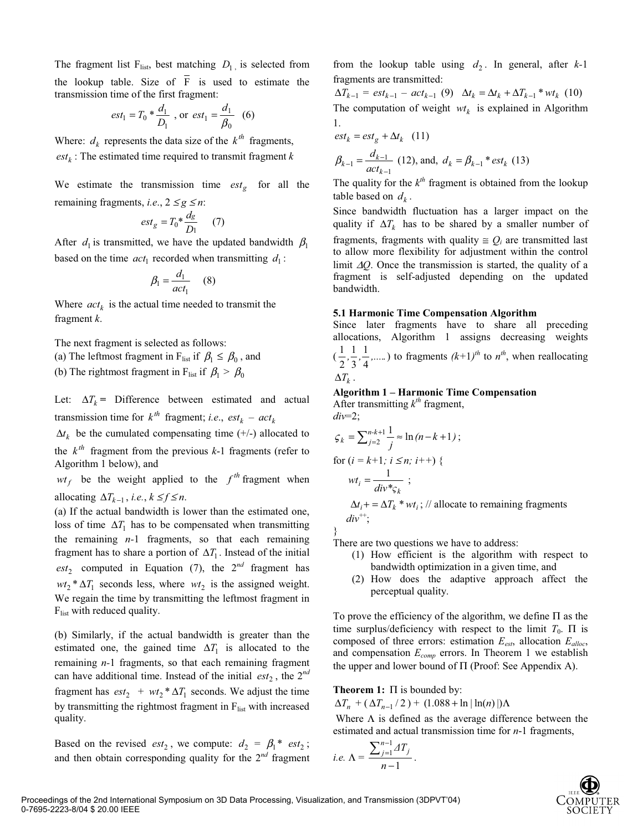The fragment list  $F_{\text{list}}$ , best matching  $D_1$  is selected from the lookup table. Size of  $\overline{F}$  is used to estimate the transmission time of the first fragment:

$$
est_1 = T_0 * \frac{d_1}{D_1}
$$
, or  $est_1 = \frac{d_1}{\beta_0}$  (6)

Where:  $d_k$  represents the data size of the  $k^{th}$  fragments,  $est_k$ : The estimated time required to transmit fragment  $k$ 

We estimate the transmission time  $est_{g}$  for all the remaining fragments, *i.e.*,  $2 \leq g \leq n$ :

$$
est_{g} = T_0 * \frac{d_g}{D_1} \qquad (7)
$$

After  $d_1$  is transmitted, we have the updated bandwidth  $\beta_1$ based on the time  $act_1$  recorded when transmitting  $d_1$ :

$$
\beta_1 = \frac{d_1}{act_1} \quad (8)
$$

Where  $act_k$  is the actual time needed to transmit the fragment *k*.

The next fragment is selected as follows:

(a) The leftmost fragment in F<sub>list</sub> if  $\beta_1 \leq \beta_0$ , and

(b) The rightmost fragment in F<sub>list</sub> if  $\beta_1 > \beta_0$ 

Let:  $\Delta T_k$  **=** Difference between estimated and actual transmission time for  $k^{th}$  fragment; *i.e.*,  $est_k - act_k$ 

 $\Delta t_k$  be the cumulated compensating time (+/-) allocated to

the  $k^{th}$  fragment from the previous  $k-1$  fragments (refer to Algorithm 1 below), and

 $wt_f$  be the weight applied to the  $f^{th}$  fragment when allocating  $\Delta T_{k-1}$ , *i.e.*,  $k \leq f \leq n$ .

(a) If the actual bandwidth is lower than the estimated one, loss of time  $\Delta T_1$  has to be compensated when transmitting the remaining *n-*1 fragments, so that each remaining fragment has to share a portion of  $\Delta T_1$ . Instead of the initial  $est_2$  computed in Equation (7), the  $2^{nd}$  fragment has  $wt_2 * \Delta T_1$  seconds less, where  $wt_2$  is the assigned weight. We regain the time by transmitting the leftmost fragment in  $F_{list}$  with reduced quality.

(b) Similarly, if the actual bandwidth is greater than the estimated one, the gained time  $\Delta T_1$  is allocated to the remaining *n-*1 fragments, so that each remaining fragment can have additional time. Instead of the initial  $est_2$ , the  $2^{nd}$ fragment has  $est_2 + wt_2 * \Delta T_1$  seconds. We adjust the time by transmitting the rightmost fragment in  $F_{list}$  with increased quality.

Based on the revised  $est_2$ , we compute:  $d_2 = \beta_1^* \, est_2$ ; and then obtain corresponding quality for the 2*nd* fragment from the lookup table using  $d_2$ . In general, after  $k-1$ fragments are transmitted:

 $\Delta T_{k-1}$  =  $est_{k-1} - act_{k-1}$  (9)  $\Delta t_k = \Delta t_k + \Delta T_{k-1} * wt_k$  (10) The computation of weight  $wt_k$  is explained in Algorithm 1.

$$
est_{k} = est_{g} + \Delta t_{k} \quad (11)
$$
  

$$
\beta_{k-1} = \frac{d_{k-1}}{act_{k-1}} \quad (12), \text{ and, } d_{k} = \beta_{k-1} * est_{k} \quad (13)
$$

The quality for the  $k^{th}$  fragment is obtained from the lookup table based on  $d_k$ .

Since bandwidth fluctuation has a larger impact on the quality if  $\Delta T_k$  has to be shared by a smaller number of fragments, fragments with quality  $\leq Q_i$  are transmitted last to allow more flexibility for adjustment within the control limit ∆*Q*. Once the transmission is started, the quality of a fragment is self-adjusted depending on the updated bandwidth.

#### **5.1 Harmonic Time Compensation Algorithm**

Since later fragments have to share all preceding allocations, Algorithm 1 assigns decreasing weights  $(\frac{1}{2}, \frac{1}{3}, \frac{1}{4}, \dots)$ 3 1  $\frac{1}{2}, \frac{1}{3}, \frac{1}{4}, \dots$ ) to fragments  $(k+1)^{th}$  to  $n^{th}$ , when reallocating  $\Delta T_k$ .

### **Algorithm 1 – Harmonic Time Compensation**

After transmitting  $k^{th}$  fragment, *div*=2;

$$
\zeta_k = \sum_{j=2}^{n-k+1} \frac{1}{j} \approx \ln(n-k+1) ;
$$
  
for  $(i = k+1; i \le n; i++) \{$   

$$
wt_i = \frac{1}{div^* \zeta_k} ;
$$
  

$$
\Delta t_i = \Delta T_k * wt_i; // allocate to remaining fragments
$$

 $div$ <sup>++</sup>;

}

There are two questions we have to address:

- (1) How efficient is the algorithm with respect to bandwidth optimization in a given time, and
- (2) How does the adaptive approach affect the perceptual quality.

To prove the efficiency of the algorithm, we define  $\Pi$  as the time surplus/deficiency with respect to the limit  $T_0$ .  $\Pi$  is composed of three errors: estimation *Eest*, allocation *Ealloc*, and compensation  $E_{comp}$  errors. In Theorem 1 we establish the upper and lower bound of  $\Pi$  (Proof: See Appendix A).

**Theorem 1:** Π is bounded by:

 $\Delta T_n$  + ( $\Delta T_{n-1}$  / 2) + (1.088 + ln | ln(*n*) |) $\Lambda$ 

Where  $\Lambda$  is defined as the average difference between the estimated and actual transmission time for *n*-1 fragments,

i.e. 
$$
\Lambda = \frac{\sum_{j=1}^{n-1} \Delta T_j}{n-1}.
$$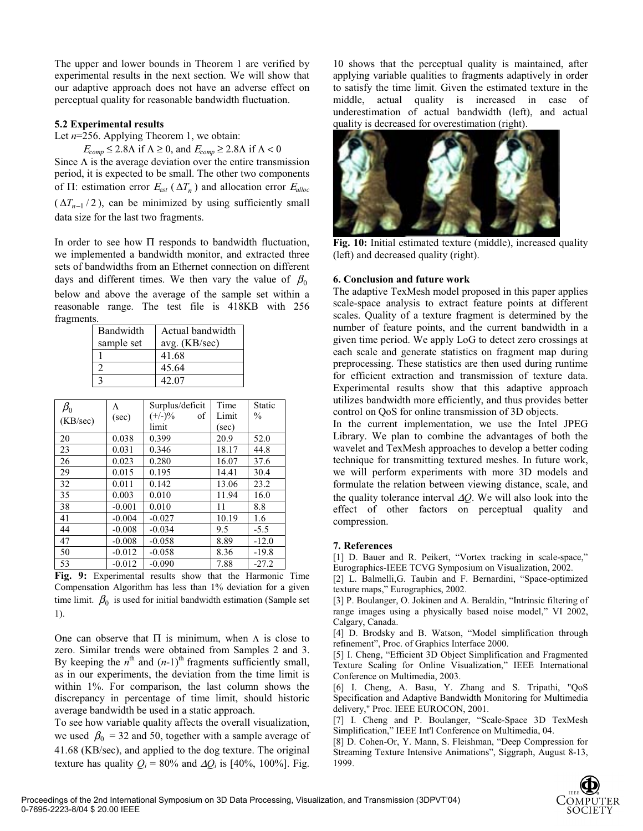The upper and lower bounds in Theorem 1 are verified by experimental results in the next section. We will show that our adaptive approach does not have an adverse effect on perceptual quality for reasonable bandwidth fluctuation.

#### **5.2 Experimental results**

Let  $n=256$ . Applying Theorem 1, we obtain:

 $E_{comp} \leq 2.8\Lambda$  if  $\Lambda \geq 0$ , and  $E_{comp} \geq 2.8\Lambda$  if  $\Lambda < 0$ 

Since  $\Lambda$  is the average deviation over the entire transmission period, it is expected to be small. The other two components of Π: estimation error  $E_{est}$  ( $\Delta T_n$ ) and allocation error  $E_{alloc}$  $(\Delta T_{n-1} / 2)$ , can be minimized by using sufficiently small data size for the last two fragments.

In order to see how Π responds to bandwidth fluctuation, we implemented a bandwidth monitor, and extracted three sets of bandwidths from an Ethernet connection on different days and different times. We then vary the value of  $\beta_0$ below and above the average of the sample set within a reasonable range. The test file is 418KB with 256 fragments.

| Bandwidth  | Actual bandwidth |
|------------|------------------|
| sample set | avg. (KB/sec)    |
|            | 41.68            |
|            | 45.64            |
|            | 42.07            |

| $\beta_0$ | Λ        | Surplus/deficit | Time  | Static  |
|-----------|----------|-----------------|-------|---------|
| (KB/sec)  | (sec)    | $(+/-)$ %<br>οf | Limit | $\%$    |
|           |          | limit           | (sec) |         |
| 20        | 0.038    | 0.399           | 20.9  | 52.0    |
| 23        | 0.031    | 0.346           | 18.17 | 44.8    |
| 26        | 0.023    | 0.280           | 16.07 | 37.6    |
| 29        | 0.015    | 0.195           | 14.41 | 30.4    |
| 32        | 0.011    | 0.142           | 13.06 | 23.2    |
| 35        | 0.003    | 0.010           | 11.94 | 16.0    |
| 38        | $-0.001$ | 0.010           | 11    | 8.8     |
| 41        | $-0.004$ | $-0.027$        | 10.19 | 1.6     |
| 44        | $-0.008$ | $-0.034$        | 9.5   | $-5.5$  |
| 47        | $-0.008$ | $-0.058$        | 8.89  | $-12.0$ |
| 50        | $-0.012$ | $-0.058$        | 8.36  | $-19.8$ |
| 53        | $-0.012$ | $-0.090$        | 7.88  | $-27.2$ |

**Fig. 9:** Experimental results show that the Harmonic Time Compensation Algorithm has less than 1% deviation for a given time limit.  $\beta_0$  is used for initial bandwidth estimation (Sample set 1).

One can observe that  $\Pi$  is minimum, when  $\Lambda$  is close to zero. Similar trends were obtained from Samples 2 and 3. By keeping the  $n^{\text{th}}$  and  $(n-1)^{\text{th}}$  fragments sufficiently small, as in our experiments, the deviation from the time limit is within 1%. For comparison, the last column shows the discrepancy in percentage of time limit, should historic average bandwidth be used in a static approach.

To see how variable quality affects the overall visualization, we used  $\beta_0 = 32$  and 50, together with a sample average of 41.68 (KB/sec), and applied to the dog texture. The original texture has quality  $Q_i = 80\%$  and  $\Delta Q_i$  is [40%, 100%]. Fig.

10 shows that the perceptual quality is maintained, after applying variable qualities to fragments adaptively in order to satisfy the time limit. Given the estimated texture in the middle, actual quality is increased in case of underestimation of actual bandwidth (left), and actual quality is decreased for overestimation (right).



**Fig. 10:** Initial estimated texture (middle), increased quality (left) and decreased quality (right).

#### **6. Conclusion and future work**

The adaptive TexMesh model proposed in this paper applies scale-space analysis to extract feature points at different scales. Quality of a texture fragment is determined by the number of feature points, and the current bandwidth in a given time period. We apply LoG to detect zero crossings at each scale and generate statistics on fragment map during preprocessing. These statistics are then used during runtime for efficient extraction and transmission of texture data. Experimental results show that this adaptive approach utilizes bandwidth more efficiently, and thus provides better control on QoS for online transmission of 3D objects.

In the current implementation, we use the Intel JPEG Library. We plan to combine the advantages of both the wavelet and TexMesh approaches to develop a better coding technique for transmitting textured meshes. In future work, we will perform experiments with more 3D models and formulate the relation between viewing distance, scale, and the quality tolerance interval ∆*Q*. We will also look into the effect of other factors on perceptual quality and compression.

#### **7. References**

[1] D. Bauer and R. Peikert, "Vortex tracking in scale-space," Eurographics-IEEE TCVG Symposium on Visualization, 2002.

[2] L. Balmelli, G. Taubin and F. Bernardini, "Space-optimized texture maps," Eurographics, 2002.

[3] P. Boulanger, O. Jokinen and A. Beraldin, "Intrinsic filtering of range images using a physically based noise model," VI 2002, Calgary, Canada.

[4] D. Brodsky and B. Watson, "Model simplification through refinement", Proc. of Graphics Interface 2000.

[5] I. Cheng, "Efficient 3D Object Simplification and Fragmented Texture Scaling for Online Visualization," IEEE International Conference on Multimedia, 2003.

[6] I. Cheng, A. Basu, Y. Zhang and S. Tripathi, "QoS Specification and Adaptive Bandwidth Monitoring for Multimedia delivery," Proc. IEEE EUROCON, 2001.

[7] I. Cheng and P. Boulanger, "Scale-Space 3D TexMesh Simplification," IEEE Int'l Conference on Multimedia, 04.

[8] D. Cohen-Or, Y. Mann, S. Fleishman, "Deep Compression for Streaming Texture Intensive Animations", Siggraph, August 8-13, 1999.